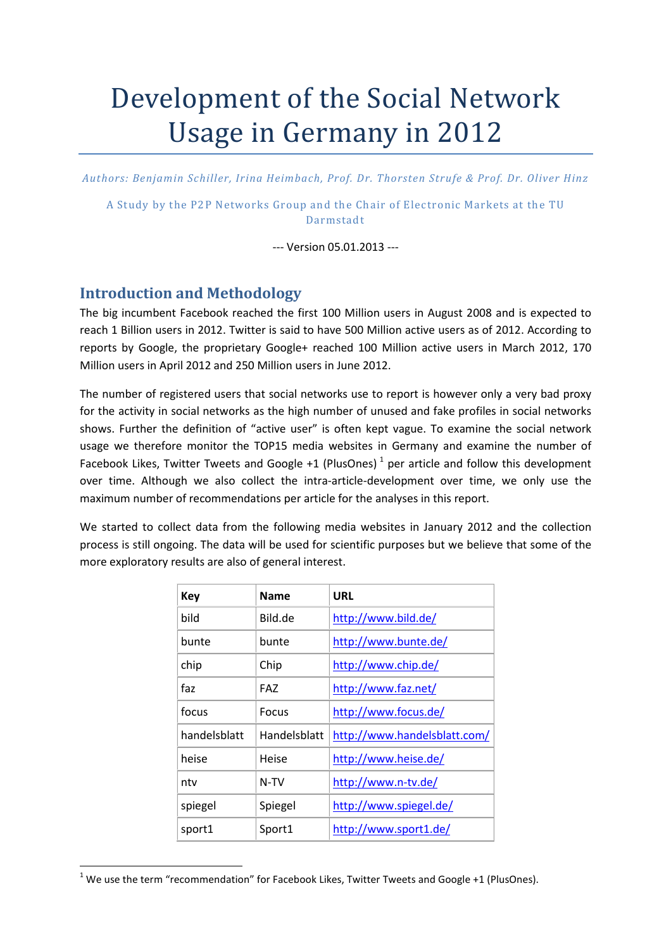# Development of the Social Network Usage in Germany in 2012

Authors: Benjamin Schiller, Irina Heimbach, Prof. Dr. Thorsten Strufe & Prof. Dr. Oliver Hinz

A Study by the P2P Networks Group and the Chair of Electronic Markets at the TU Darmstadt 

--- Version 05.01.2013 ---

#### Introduction and Methodology

l

The big incumbent Facebook reached the first 100 Million users in August 2008 and is expected to reach 1 Billion users in 2012. Twitter is said to have 500 Million active users as of 2012. According to reports by Google, the proprietary Google+ reached 100 Million active users in March 2012, 170 Million users in April 2012 and 250 Million users in June 2012.

The number of registered users that social networks use to report is however only a very bad proxy for the activity in social networks as the high number of unused and fake profiles in social networks shows. Further the definition of "active user" is often kept vague. To examine the social network usage we therefore monitor the TOP15 media websites in Germany and examine the number of Facebook Likes, Twitter Tweets and Google +1 (PlusOnes)<sup>1</sup> per article and follow this development over time. Although we also collect the intra-article-development over time, we only use the maximum number of recommendations per article for the analyses in this report.

We started to collect data from the following media websites in January 2012 and the collection process is still ongoing. The data will be used for scientific purposes but we believe that some of the more exploratory results are also of general interest.

| <b>Key</b>   | <b>Name</b>         | <b>URL</b>                   |
|--------------|---------------------|------------------------------|
| bild         | Bild.de             | http://www.bild.de/          |
| bunte        | bunte               | http://www.bunte.de/         |
| chip         | Chip                | http://www.chip.de/          |
| faz          | <b>FAZ</b>          | http://www.faz.net/          |
| focus        | Focus               | http://www.focus.de/         |
| handelsblatt | <b>Handelsblatt</b> | http://www.handelsblatt.com/ |
| heise        | Heise               | http://www.heise.de/         |
| ntv          | N-TV                | http://www.n-tv.de/          |
| spiegel      | Spiegel             | http://www.spiegel.de/       |
| sport1       | Sport1              | http://www.sport1.de/        |

 $1$  We use the term "recommendation" for Facebook Likes, Twitter Tweets and Google +1 (PlusOnes).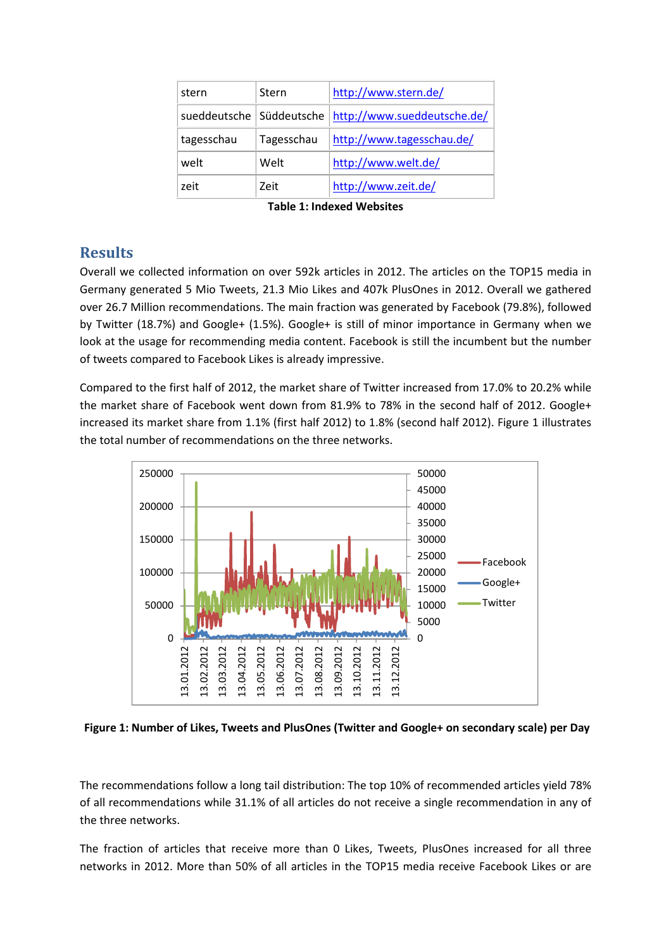| stern      | Stern      | http://www.stern.de/                                     |
|------------|------------|----------------------------------------------------------|
|            |            | sueddeutsche   Süddeutsche   http://www.sueddeutsche.de/ |
| tagesschau | Tagesschau | http://www.tagesschau.de/                                |
| welt       | Welt       | http://www.welt.de/                                      |
| zeit       | Zeit       | http://www.zeit.de/                                      |

Table 1: Indexed Websites

### **Results**

Overall we collected information on over 592k articles in 2012. The articles on the TOP15 media in Germany generated 5 Mio Tweets, 21.3 Mio Likes and 407k PlusOnes in 2012. Overall we gathered over 26.7 Million recommendations. The main fraction was generated by Facebook (79.8%), followed by Twitter (18.7%) and Google+ (1.5%). Google+ is still of minor importance in Germany when we look at the usage for recommending media content. Facebook is still the incumbent but the number of tweets compared to Facebook Likes is already impressive.

Compared to the first half of 2012, the market share of Twitter increased from 17.0% to 20.2% while the market share of Facebook went down from 81.9% to 78% in the second half of 2012. Google+ increased its market share from 1.1% (first half 2012) to 1.8% (second half 2012). Figure 1 illustrates the total number of recommendations on the three networks.



Figure 1: Number of Likes, Tweets and PlusOnes (Twitter and Google+ on secondary scale) per Day

The recommendations follow a long tail distribution: The top 10% of recommended articles yield 78% of all recommendations while 31.1% of all articles do not receive a single recommendation in any of the three networks.

The fraction of articles that receive more than 0 Likes, Tweets, PlusOnes increased for all three networks in 2012. More than 50% of all articles in the TOP15 media receive Facebook Likes or are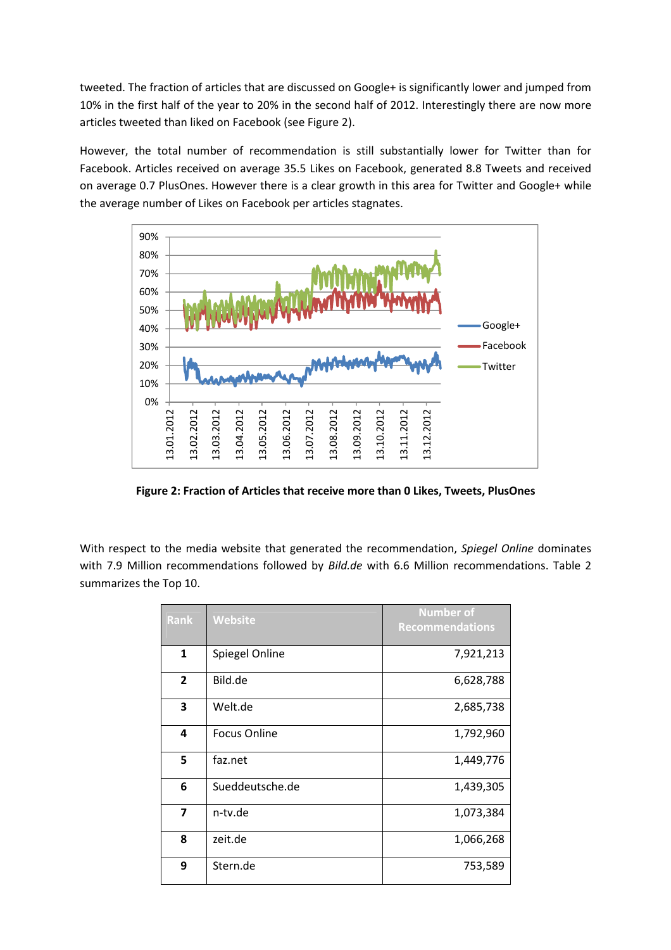tweeted. The fraction of articles that are discussed on Google+ is significantly lower and jumped from 10% in the first half of the year to 20% in the second half of 2012. Interestingly there are now more articles tweeted than liked on Facebook (see Figure 2).

However, the total number of recommendation is still substantially lower for Twitter than for Facebook. Articles received on average 35.5 Likes on Facebook, generated 8.8 Tweets and received on average 0.7 PlusOnes. However there is a clear growth in this area for Twitter and Google+ while the average number of Likes on Facebook per articles stagnates.



Figure 2: Fraction of Articles that receive more than 0 Likes, Tweets, PlusOnes

With respect to the media website that generated the recommendation, Spiegel Online dominates with 7.9 Million recommendations followed by Bild.de with 6.6 Million recommendations. Table 2 summarizes the Top 10.

| Rank           | <b>Website</b>      | <b>Number of</b><br><b>Recommendations</b> |
|----------------|---------------------|--------------------------------------------|
| $\mathbf{1}$   | Spiegel Online      | 7,921,213                                  |
| $\overline{2}$ | Bild.de             | 6,628,788                                  |
| 3              | Welt.de             | 2,685,738                                  |
| 4              | <b>Focus Online</b> | 1,792,960                                  |
| 5              | faz.net             | 1,449,776                                  |
| 6              | Sueddeutsche.de     | 1,439,305                                  |
| 7              | n-tv.de             | 1,073,384                                  |
| 8              | zeit.de             | 1,066,268                                  |
| 9              | Stern.de            | 753,589                                    |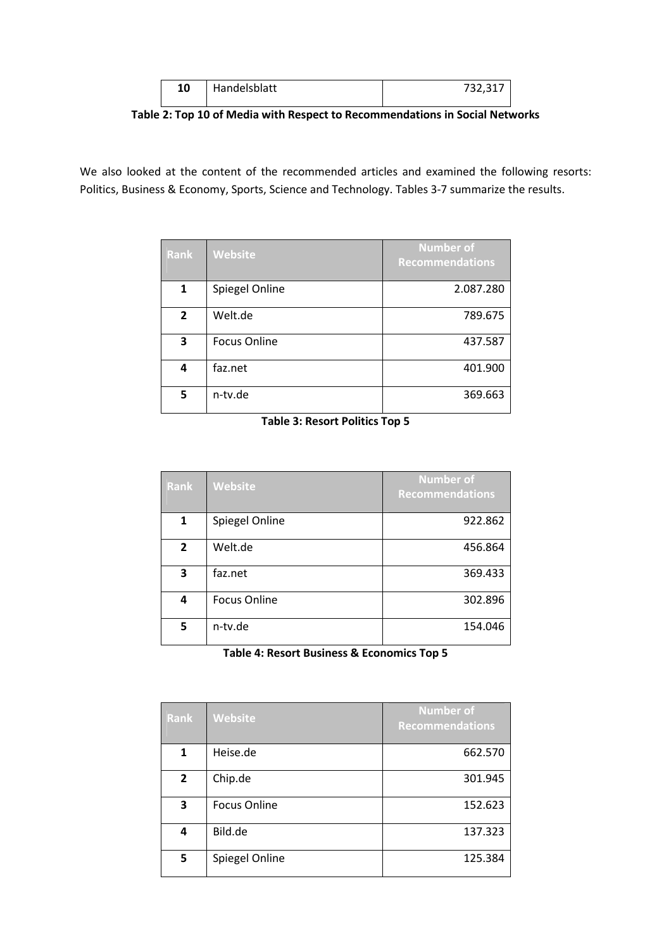| 10 | Handelsblatt | 732,317 |
|----|--------------|---------|
|    |              |         |

Table 2: Top 10 of Media with Respect to Recommendations in Social Networks

We also looked at the content of the recommended articles and examined the following resorts: Politics, Business & Economy, Sports, Science and Technology. Tables 3-7 summarize the results.

| <b>Rank</b>    | <b>Website</b>      | <b>Number of</b><br><b>Recommendations</b> |
|----------------|---------------------|--------------------------------------------|
| 1              | Spiegel Online      | 2.087.280                                  |
| $\overline{2}$ | Welt.de             | 789.675                                    |
| 3              | <b>Focus Online</b> | 437.587                                    |
| 4              | faz.net             | 401.900                                    |
| 5              | n-tv.de             | 369.663                                    |

| Rank           | <b>Website</b>      | <b>Number of</b><br><b>Recommendations</b> |
|----------------|---------------------|--------------------------------------------|
| 1              | Spiegel Online      | 922.862                                    |
| $\overline{2}$ | Welt.de             | 456.864                                    |
| 3              | faz.net             | 369.433                                    |
| 4              | <b>Focus Online</b> | 302.896                                    |
| 5              | n-tv.de             | 154.046                                    |

Table 4: Resort Business & Economics Top 5

| <b>Rank</b>    | Website             | <b>Number of</b><br><b>Recommendations</b> |
|----------------|---------------------|--------------------------------------------|
| 1              | Heise.de            | 662.570                                    |
| $\overline{2}$ | Chip.de             | 301.945                                    |
| 3              | <b>Focus Online</b> | 152.623                                    |
| 4              | Bild.de             | 137.323                                    |
| 5              | Spiegel Online      | 125.384                                    |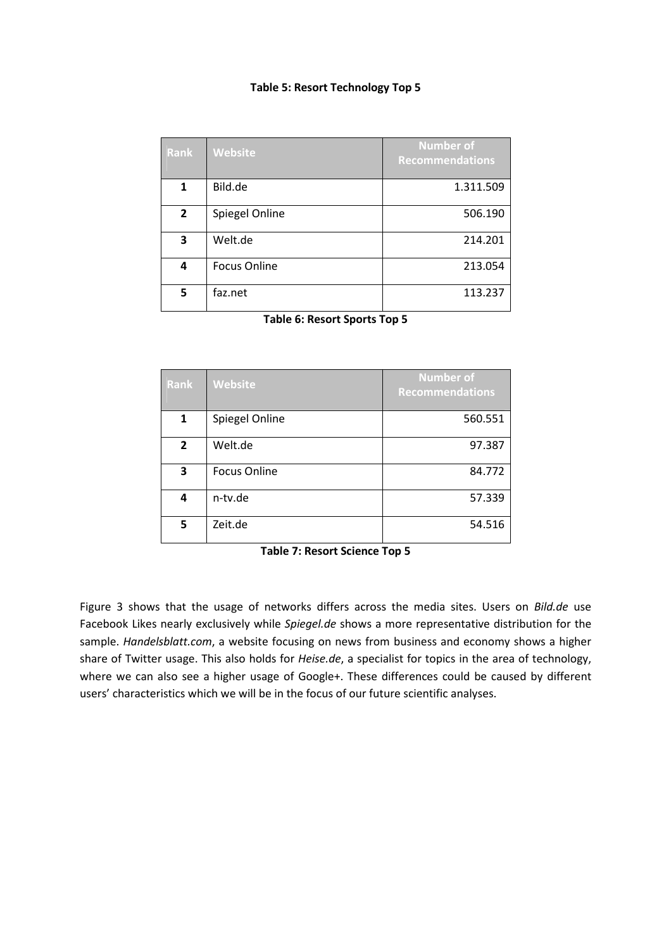#### Table 5: Resort Technology Top 5

| <b>Rank</b>    | <b>Website</b>      | Number of<br><b>Recommendations</b> |
|----------------|---------------------|-------------------------------------|
| 1              | Bild.de             | 1.311.509                           |
| $\overline{2}$ | Spiegel Online      | 506.190                             |
| 3              | Welt.de             | 214.201                             |
| 4              | <b>Focus Online</b> | 213.054                             |
| 5              | faz.net             | 113.237                             |

Table 6: Resort Sports Top 5

| <b>Rank</b>  | <b>Website</b>      | <b>Number of</b><br><b>Recommendations</b> |
|--------------|---------------------|--------------------------------------------|
| $\mathbf{1}$ | Spiegel Online      | 560.551                                    |
| $\mathbf{2}$ | Welt.de             | 97.387                                     |
| 3            | <b>Focus Online</b> | 84.772                                     |
| 4            | n-tv.de             | 57.339                                     |
| 5            | Zeit.de             | 54.516                                     |

|  |  |  | <b>Table 7: Resort Science Top 5</b> |  |
|--|--|--|--------------------------------------|--|
|--|--|--|--------------------------------------|--|

Figure 3 shows that the usage of networks differs across the media sites. Users on Bild.de use Facebook Likes nearly exclusively while Spiegel.de shows a more representative distribution for the sample. Handelsblatt.com, a website focusing on news from business and economy shows a higher share of Twitter usage. This also holds for Heise.de, a specialist for topics in the area of technology, where we can also see a higher usage of Google+. These differences could be caused by different users' characteristics which we will be in the focus of our future scientific analyses.